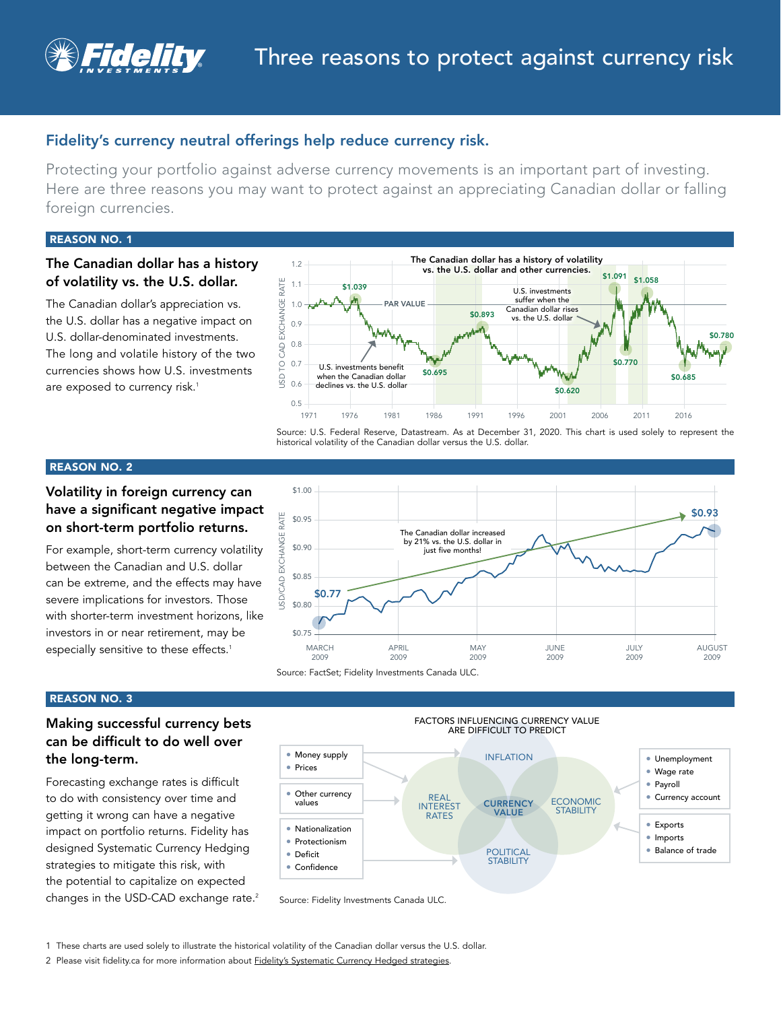

## Fidelity's currency neutral offerings help reduce currency risk.

Protecting your portfolio against adverse currency movements is an important part of investing. Here are three reasons you may want to protect against an appreciating Canadian dollar or falling foreign currencies.

#### REASON NO. 1

## The Canadian dollar has a history of volatility vs. the U.S. dollar.

The Canadian dollar's appreciation vs. the U.S. dollar has a negative impact on U.S. dollar-denominated investments. The long and volatile history of the two currencies shows how U.S. investments are exposed to currency risk.<sup>1</sup>



Source: U.S. Federal Reserve, Datastream. As at December 31, 2020. This chart is used solely to represent the historical volatility of the Canadian dollar versus the U.S. dollar.

## REASON NO. 2

## Volatility in foreign currency can have a significant negative impact on short-term portfolio returns.

For example, short-term currency volatility between the Canadian and U.S. dollar can be extreme, and the effects may have severe implications for investors. Those with shorter-term investment horizons, like investors in or near retirement, may be especially sensitive to these effects.<sup>1</sup>



## REASON NO. 3

## Making successful currency bets can be difficult to do well over the long-term.

Forecasting exchange rates is difficult to do with consistency over time and getting it wrong can have a negative impact on portfolio returns. Fidelity has designed Systematic Currency Hedging strategies to mitigate this risk, with the potential to capitalize on expected changes in the USD-CAD exchange rate.<sup>2</sup>



Source: Fidelity Investments Canada ULC.

1 These charts are used solely to illustrate the historical volatility of the Canadian dollar versus the U.S. dollar.

2 Please visit fidelity.ca for more information about [Fidelity's Systematic Currency Hedged strategies](https://www.fidelity.ca/fidca/en/products/systematiccurrencyhedging).